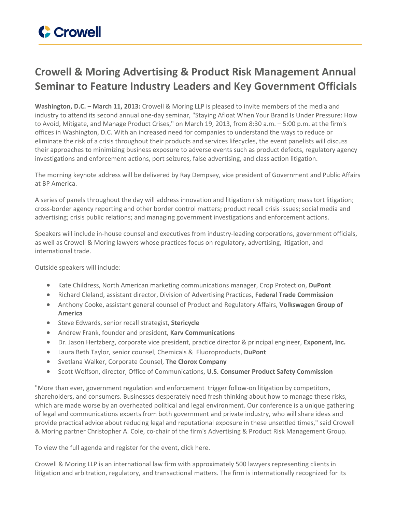## **Crowell & Moring Advertising & Product Risk Management Annual Seminar to Feature Industry Leaders and Key Government Officials**

**Washington, D.C. – March 11, 2013:** Crowell & Moring LLP is pleased to invite members of the media and industry to attend its second annual one-day seminar, "Staying Afloat When Your Brand Is Under Pressure: How to Avoid, Mitigate, and Manage Product Crises," on March 19, 2013, from 8:30 a.m. – 5:00 p.m. at the firm's offices in Washington, D.C. With an increased need for companies to understand the ways to reduce or eliminate the risk of a crisis throughout their products and services lifecycles, the event panelists will discuss their approaches to minimizing business exposure to adverse events such as product defects, regulatory agency investigations and enforcement actions, port seizures, false advertising, and class action litigation.

The morning keynote address will be delivered by Ray Dempsey, vice president of Government and Public Affairs at BP America.

A series of panels throughout the day will address innovation and litigation risk mitigation; mass tort litigation; cross-border agency reporting and other border control matters; product recall crisis issues; social media and advertising; crisis public relations; and managing government investigations and enforcement actions.

Speakers will include in-house counsel and executives from industry-leading corporations, government officials, as well as Crowell & Moring lawyers whose practices focus on regulatory, advertising, litigation, and international trade.

Outside speakers will include:

- Kate Childress, North American marketing communications manager, Crop Protection, **DuPont**
- Richard Cleland, assistant director, Division of Advertising Practices, **Federal Trade Commission**
- Anthony Cooke, assistant general counsel of Product and Regulatory Affairs, **Volkswagen Group of America**
- Steve Edwards, senior recall strategist, **Stericycle**
- Andrew Frank, founder and president, **Karv Communications**
- Dr. Jason Hertzberg, corporate vice president, practice director & principal engineer, **Exponent, Inc.**
- Laura Beth Taylor, senior counsel, Chemicals & Fluoroproducts, **DuPont**
- Svetlana Walker, Corporate Counsel, **The Clorox Company**
- Scott Wolfson, director, Office of Communications, **U.S. Consumer Product Safety Commission**

"More than ever, government regulation and enforcement trigger follow-on litigation by competitors, shareholders, and consumers. Businesses desperately need fresh thinking about how to manage these risks, which are made worse by an overheated political and legal environment. Our conference is a unique gathering of legal and communications experts from both government and private industry, who will share ideas and provide practical advice about reducing legal and reputational exposure in these unsettled times," said Crowell & Moring partner Christopher A. Cole, co-chair of the firm's Advertising & Product Risk Management Group.

To view the full agenda and register for the event, click [here](http://www.crowell.com/NewsEvents/Events/Staying-Afloat-When-Your-Brand-is-Under-Pressure-How-to-Avoid-Mitigate-and-Manage-Product-Crises).

Crowell & Moring LLP is an international law firm with approximately 500 lawyers representing clients in litigation and arbitration, regulatory, and transactional matters. The firm is internationally recognized for its